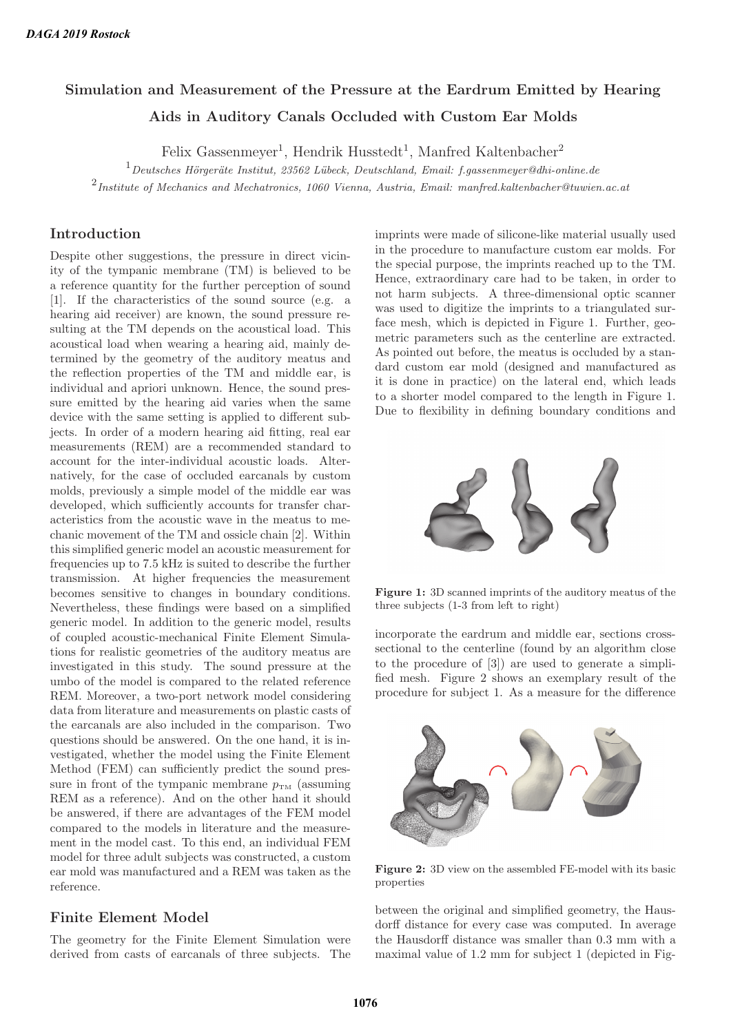# **Simulation and Measurement of the Pressure at the Eardrum Emitted by Hearing Aids in Auditory Canals Occluded with Custom Ear Molds**

Felix Gassenmeyer<sup>1</sup>, Hendrik Husstedt<sup>1</sup>, Manfred Kaltenbacher<sup>2</sup>

 $^1$  Deutsches Hörgeräte Institut, 23562 Lübeck, Deutschland, Email: f.gassenmeyer@dhi-online.de

 $2$ Institute of Mechanics and Mechatronics, 1060 Vienna, Austria, Email: manfred.kaltenbacher@tuwien.ac.at

# **Introduction**

Despite other suggestions, the pressure in direct vicinity of the tympanic membrane (TM) is believed to be a reference quantity for the further perception of sound [1]. If the characteristics of the sound source (e.g. a hearing aid receiver) are known, the sound pressure resulting at the TM depends on the acoustical load. This acoustical load when wearing a hearing aid, mainly determined by the geometry of the auditory meatus and the reflection properties of the TM and middle ear, is individual and apriori unknown. Hence, the sound pressure emitted by the hearing aid varies when the same device with the same setting is applied to different subjects. In order of a modern hearing aid fitting, real ear measurements (REM) are a recommended standard to account for the inter-individual acoustic loads. Alternatively, for the case of occluded earcanals by custom molds, previously a simple model of the middle ear was developed, which sufficiently accounts for transfer characteristics from the acoustic wave in the meatus to mechanic movement of the TM and ossicle chain [2]. Within this simplified generic model an acoustic measurement for frequencies up to 7.5 kHz is suited to describe the further transmission. At higher frequencies the measurement becomes sensitive to changes in boundary conditions. Nevertheless, these findings were based on a simplified generic model. In addition to the generic model, results of coupled acoustic-mechanical Finite Element Simulations for realistic geometries of the auditory meatus are investigated in this study. The sound pressure at the umbo of the model is compared to the related reference REM. Moreover, a two-port network model considering data from literature and measurements on plastic casts of the earcanals are also included in the comparison. Two questions should be answered. On the one hand, it is investigated, whether the model using the Finite Element Method (FEM) can sufficiently predict the sound pressure in front of the tympanic membrane  $p_{\text{TM}}$  (assuming REM as a reference). And on the other hand it should be answered, if there are advantages of the FEM model compared to the models in literature and the measurement in the model cast. To this end, an individual FEM model for three adult subjects was constructed, a custom ear mold was manufactured and a REM was taken as the reference.

# **Finite Element Model**

The geometry for the Finite Element Simulation were derived from casts of earcanals of three subjects. The imprints were made of silicone-like material usually used in the procedure to manufacture custom ear molds. For the special purpose, the imprints reached up to the TM. Hence, extraordinary care had to be taken, in order to not harm subjects. A three-dimensional optic scanner was used to digitize the imprints to a triangulated surface mesh, which is depicted in Figure 1. Further, geometric parameters such as the centerline are extracted. As pointed out before, the meatus is occluded by a standard custom ear mold (designed and manufactured as it is done in practice) on the lateral end, which leads to a shorter model compared to the length in Figure 1. Due to flexibility in defining boundary conditions and



**Figure 1:** 3D scanned imprints of the auditory meatus of the three subjects (1-3 from left to right)

incorporate the eardrum and middle ear, sections crosssectional to the centerline (found by an algorithm close to the procedure of [3]) are used to generate a simplified mesh. Figure 2 shows an exemplary result of the procedure for subject 1. As a measure for the difference



**Figure 2:** 3D view on the assembled FE-model with its basic properties

between the original and simplified geometry, the Hausdorff distance for every case was computed. In average the Hausdorff distance was smaller than 0.3 mm with a maximal value of 1.2 mm for subject 1 (depicted in Fig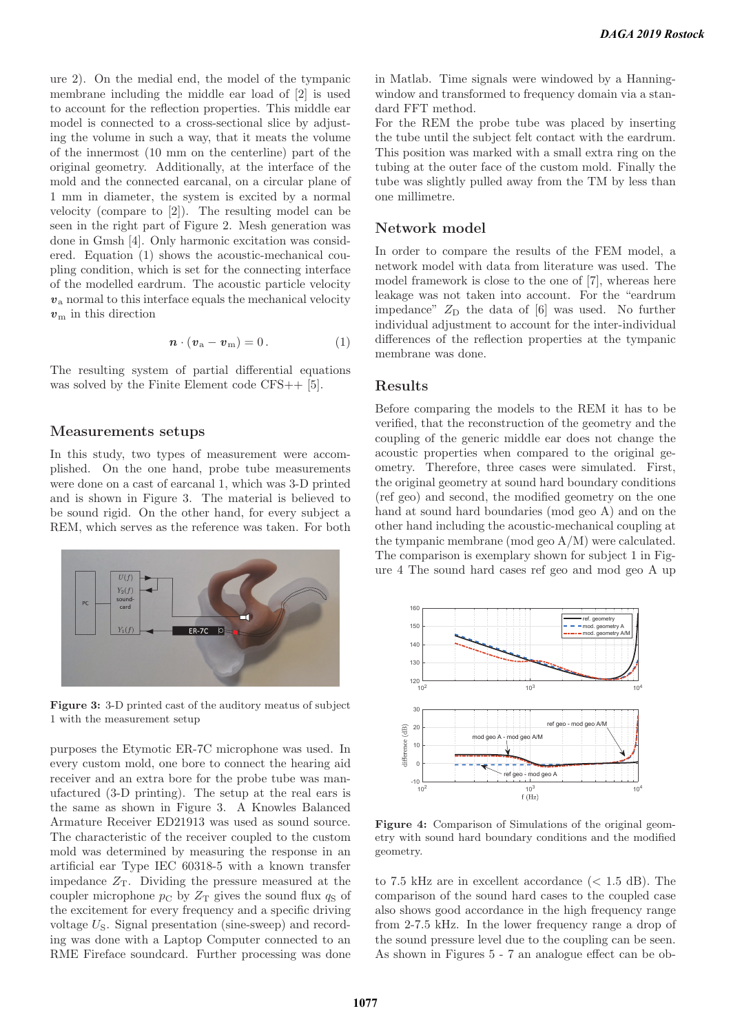ure 2). On the medial end, the model of the tympanic membrane including the middle ear load of [2] is used to account for the reflection properties. This middle ear model is connected to a cross-sectional slice by adjusting the volume in such a way, that it meats the volume of the innermost (10 mm on the centerline) part of the original geometry. Additionally, at the interface of the mold and the connected earcanal, on a circular plane of 1 mm in diameter, the system is excited by a normal velocity (compare to [2]). The resulting model can be seen in the right part of Figure 2. Mesh generation was done in Gmsh [4]. Only harmonic excitation was considered. Equation (1) shows the acoustic-mechanical coupling condition, which is set for the connecting interface of the modelled eardrum. The acoustic particle velocity  $v_a$  normal to this interface equals the mechanical velocity  $v<sub>m</sub>$  in this direction

$$
\mathbf{n} \cdot (\mathbf{v}_a - \mathbf{v}_m) = 0. \tag{1}
$$

The resulting system of partial differential equations was solved by the Finite Element code CFS++ [5].

#### **Measurements setups**

In this study, two types of measurement were accomplished. On the one hand, probe tube measurements were done on a cast of earcanal 1, which was 3-D printed and is shown in Figure 3. The material is believed to be sound rigid. On the other hand, for every subject a REM, which serves as the reference was taken. For both



**Figure 3:** 3-D printed cast of the auditory meatus of subject 1 with the measurement setup

purposes the Etymotic ER-7C microphone was used. In every custom mold, one bore to connect the hearing aid receiver and an extra bore for the probe tube was manufactured (3-D printing). The setup at the real ears is the same as shown in Figure 3. A Knowles Balanced Armature Receiver ED21913 was used as sound source. The characteristic of the receiver coupled to the custom mold was determined by measuring the response in an artificial ear Type IEC 60318-5 with a known transfer impedance  $Z_T$ . Dividing the pressure measured at the coupler microphone  $p_{\rm C}$  by  $Z_{\rm T}$  gives the sound flux  $q_{\rm S}$  of the excitement for every frequency and a specific driving voltage  $U_{\rm S}$ . Signal presentation (sine-sweep) and recording was done with a Laptop Computer connected to an RME Fireface soundcard. Further processing was done

in Matlab. Time signals were windowed by a Hanningwindow and transformed to frequency domain via a standard FFT method.

For the REM the probe tube was placed by inserting the tube until the subject felt contact with the eardrum. This position was marked with a small extra ring on the tubing at the outer face of the custom mold. Finally the tube was slightly pulled away from the TM by less than one millimetre.

### **Network model**

In order to compare the results of the FEM model, a network model with data from literature was used. The model framework is close to the one of [7], whereas here leakage was not taken into account. For the "eardrum impedance"  $Z_D$  the data of [6] was used. No further individual adjustment to account for the inter-individual differences of the reflection properties at the tympanic membrane was done.

#### **Results**

Before comparing the models to the REM it has to be verified, that the reconstruction of the geometry and the coupling of the generic middle ear does not change the acoustic properties when compared to the original geometry. Therefore, three cases were simulated. First, the original geometry at sound hard boundary conditions (ref geo) and second, the modified geometry on the one hand at sound hard boundaries (mod geo A) and on the other hand including the acoustic-mechanical coupling at the tympanic membrane (mod geo A/M) were calculated. The comparison is exemplary shown for subject 1 in Figure 4 The sound hard cases ref geo and mod geo A up



**Figure 4:** Comparison of Simulations of the original geometry with sound hard boundary conditions and the modified geometry.

to 7.5 kHz are in excellent accordance  $(< 1.5$  dB). The comparison of the sound hard cases to the coupled case also shows good accordance in the high frequency range from 2-7.5 kHz. In the lower frequency range a drop of the sound pressure level due to the coupling can be seen. As shown in Figures 5 - 7 an analogue effect can be ob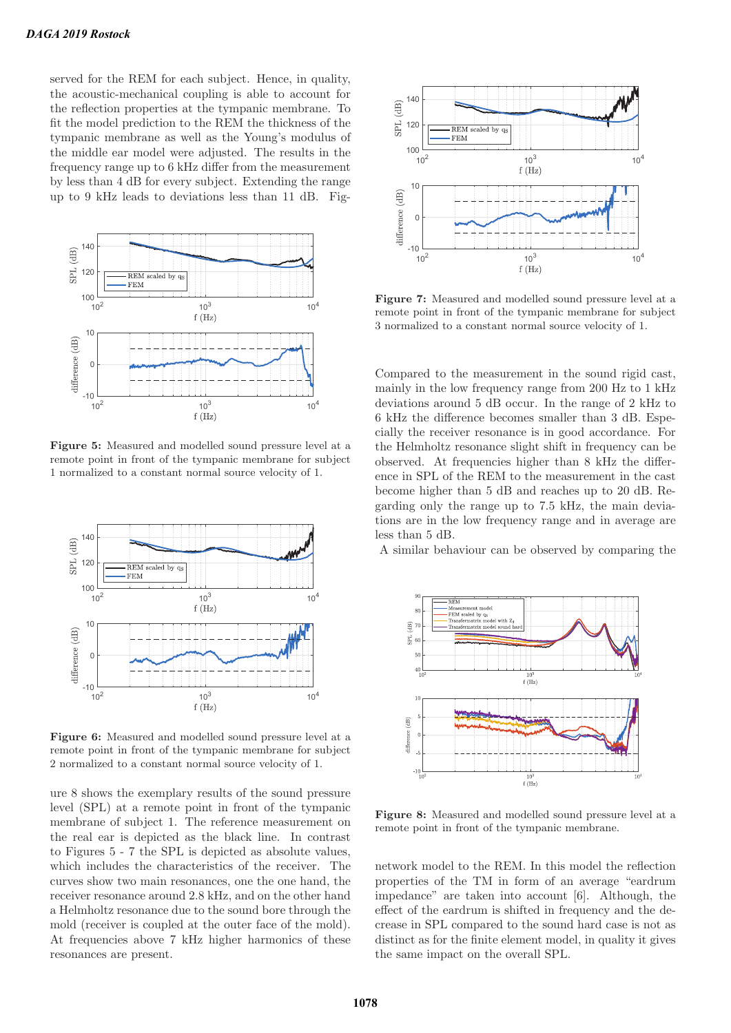served for the REM for each subject. Hence, in quality, the acoustic-mechanical coupling is able to account for the reflection properties at the tympanic membrane. To fit the model prediction to the REM the thickness of the tympanic membrane as well as the Young's modulus of the middle ear model were adjusted. The results in the frequency range up to 6 kHz differ from the measurement by less than 4 dB for every subject. Extending the range up to 9 kHz leads to deviations less than 11 dB. Fig-



**Figure 5:** Measured and modelled sound pressure level at a remote point in front of the tympanic membrane for subject 1 normalized to a constant normal source velocity of 1.



**Figure 6:** Measured and modelled sound pressure level at a remote point in front of the tympanic membrane for subject 2 normalized to a constant normal source velocity of 1.

ure 8 shows the exemplary results of the sound pressure level (SPL) at a remote point in front of the tympanic membrane of subject 1. The reference measurement on the real ear is depicted as the black line. In contrast to Figures 5 - 7 the SPL is depicted as absolute values, which includes the characteristics of the receiver. The curves show two main resonances, one the one hand, the receiver resonance around 2.8 kHz, and on the other hand a Helmholtz resonance due to the sound bore through the mold (receiver is coupled at the outer face of the mold). At frequencies above 7 kHz higher harmonics of these resonances are present.



**Figure 7:** Measured and modelled sound pressure level at a remote point in front of the tympanic membrane for subject 3 normalized to a constant normal source velocity of 1.

Compared to the measurement in the sound rigid cast, mainly in the low frequency range from 200 Hz to 1 kHz deviations around 5 dB occur. In the range of 2 kHz to 6 kHz the difference becomes smaller than 3 dB. Especially the receiver resonance is in good accordance. For the Helmholtz resonance slight shift in frequency can be observed. At frequencies higher than 8 kHz the difference in SPL of the REM to the measurement in the cast become higher than 5 dB and reaches up to 20 dB. Regarding only the range up to 7.5 kHz, the main deviations are in the low frequency range and in average are less than 5 dB.

A similar behaviour can be observed by comparing the



**Figure 8:** Measured and modelled sound pressure level at a remote point in front of the tympanic membrane.

network model to the REM. In this model the reflection properties of the TM in form of an average "eardrum impedance" are taken into account [6]. Although, the effect of the eardrum is shifted in frequency and the decrease in SPL compared to the sound hard case is not as distinct as for the finite element model, in quality it gives the same impact on the overall SPL.